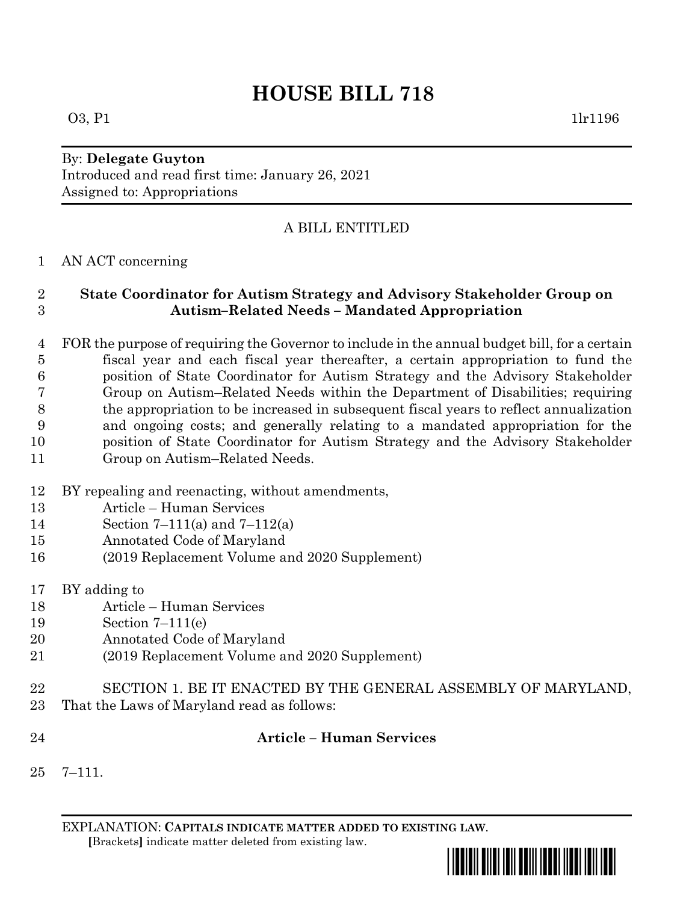# **HOUSE BILL 718**

#### By: **Delegate Guyton** Introduced and read first time: January 26, 2021 Assigned to: Appropriations

# A BILL ENTITLED

## AN ACT concerning

## **State Coordinator for Autism Strategy and Advisory Stakeholder Group on Autism–Related Needs – Mandated Appropriation**

- FOR the purpose of requiring the Governor to include in the annual budget bill, for a certain fiscal year and each fiscal year thereafter, a certain appropriation to fund the position of State Coordinator for Autism Strategy and the Advisory Stakeholder Group on Autism–Related Needs within the Department of Disabilities; requiring the appropriation to be increased in subsequent fiscal years to reflect annualization and ongoing costs; and generally relating to a mandated appropriation for the position of State Coordinator for Autism Strategy and the Advisory Stakeholder Group on Autism–Related Needs.
- BY repealing and reenacting, without amendments,
- Article Human Services
- Section 7–111(a) and 7–112(a)
- Annotated Code of Maryland
- (2019 Replacement Volume and 2020 Supplement)
- BY adding to
- Article Human Services
- Section 7–111(e)
- Annotated Code of Maryland
- (2019 Replacement Volume and 2020 Supplement)
- SECTION 1. BE IT ENACTED BY THE GENERAL ASSEMBLY OF MARYLAND,
- That the Laws of Maryland read as follows:
- 

## **Article – Human Services**

7–111.

EXPLANATION: **CAPITALS INDICATE MATTER ADDED TO EXISTING LAW**.  **[**Brackets**]** indicate matter deleted from existing law.